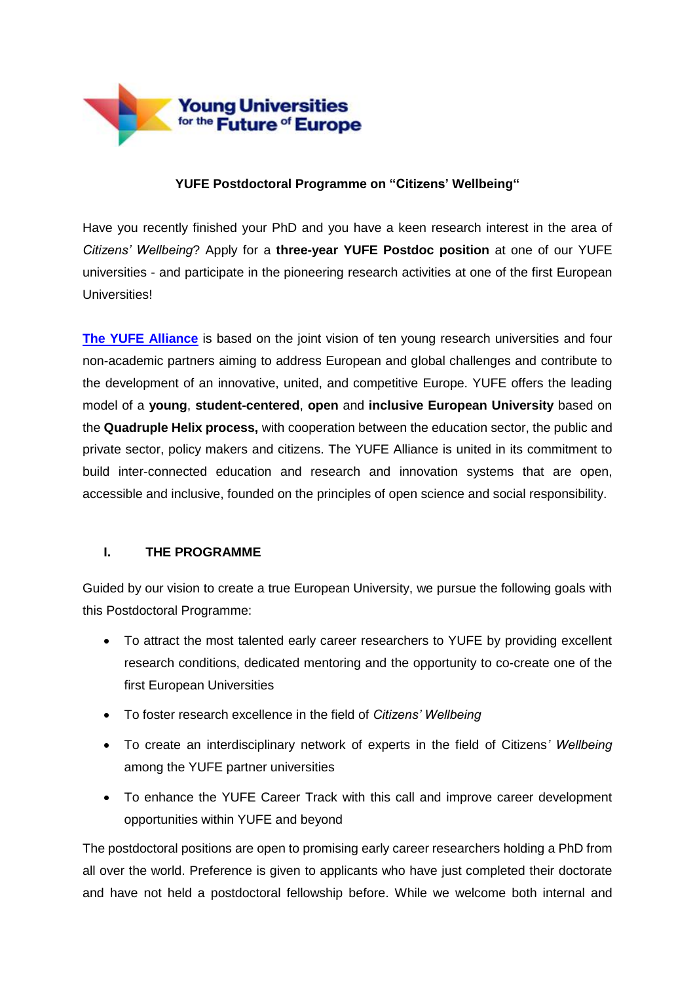

#### **YUFE Postdoctoral Programme on "Citizens' Wellbeing"**

Have you recently finished your PhD and you have a keen research interest in the area of *Citizens' Wellbeing*? Apply for a **three-year YUFE Postdoc position** at one of our YUFE universities - and participate in the pioneering research activities at one of the first European Universities!

**[The YUFE Alliance](https://yufe.eu/)** is based on the joint vision of ten young research universities and four non-academic partners aiming to address European and global challenges and contribute to the development of an innovative, united, and competitive Europe. YUFE offers the leading model of a **young**, **student-centered**, **open** and **inclusive European University** based on the **Quadruple Helix process,** with cooperation between the education sector, the public and private sector, policy makers and citizens. The YUFE Alliance is united in its commitment to build inter-connected education and research and innovation systems that are open, accessible and inclusive, founded on the principles of open science and social responsibility.

# **I. THE PROGRAMME**

Guided by our vision to create a true European University, we pursue the following goals with this Postdoctoral Programme:

- To attract the most talented early career researchers to YUFE by providing excellent research conditions, dedicated mentoring and the opportunity to co-create one of the first European Universities
- To foster research excellence in the field of *Citizens' Wellbeing*
- To create an interdisciplinary network of experts in the field of Citizens*' Wellbeing* among the YUFE partner universities
- To enhance the YUFE Career Track with this call and improve career development opportunities within YUFE and beyond

The postdoctoral positions are open to promising early career researchers holding a PhD from all over the world. Preference is given to applicants who have just completed their doctorate and have not held a postdoctoral fellowship before. While we welcome both internal and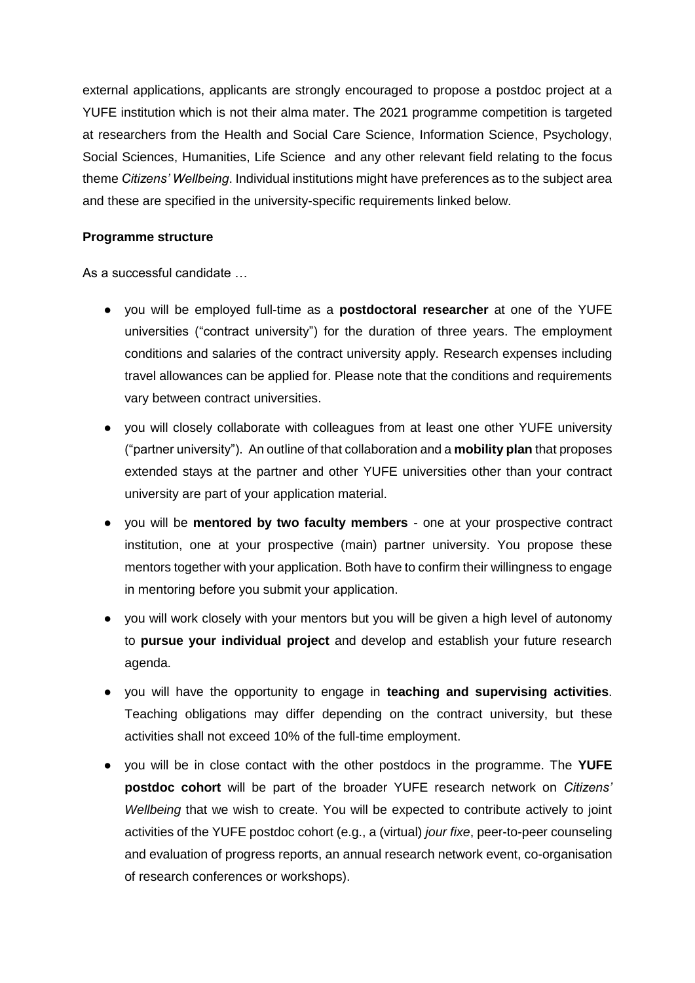external applications, applicants are strongly encouraged to propose a postdoc project at a YUFE institution which is not their alma mater. The 2021 programme competition is targeted at researchers from the Health and Social Care Science, Information Science, Psychology, Social Sciences, Humanities, Life Science and any other relevant field relating to the focus theme *Citizens' Wellbeing*. Individual institutions might have preferences as to the subject area and these are specified in the university-specific requirements linked below.

#### **Programme structure**

As a successful candidate …

- you will be employed full-time as a **postdoctoral researcher** at one of the YUFE universities ("contract university") for the duration of three years. The employment conditions and salaries of the contract university apply. Research expenses including travel allowances can be applied for. Please note that the conditions and requirements vary between contract universities.
- you will closely collaborate with colleagues from at least one other YUFE university ("partner university"). An outline of that collaboration and a **mobility plan** that proposes extended stays at the partner and other YUFE universities other than your contract university are part of your application material.
- you will be **mentored by two faculty members** one at your prospective contract institution, one at your prospective (main) partner university. You propose these mentors together with your application. Both have to confirm their willingness to engage in mentoring before you submit your application.
- you will work closely with your mentors but you will be given a high level of autonomy to **pursue your individual project** and develop and establish your future research agenda.
- you will have the opportunity to engage in **teaching and supervising activities**. Teaching obligations may differ depending on the contract university, but these activities shall not exceed 10% of the full-time employment.
- you will be in close contact with the other postdocs in the programme. The **YUFE postdoc cohort** will be part of the broader YUFE research network on *Citizens' Wellbeing* that we wish to create. You will be expected to contribute actively to joint activities of the YUFE postdoc cohort (e.g., a (virtual) *jour fixe*, peer-to-peer counseling and evaluation of progress reports, an annual research network event, co-organisation of research conferences or workshops).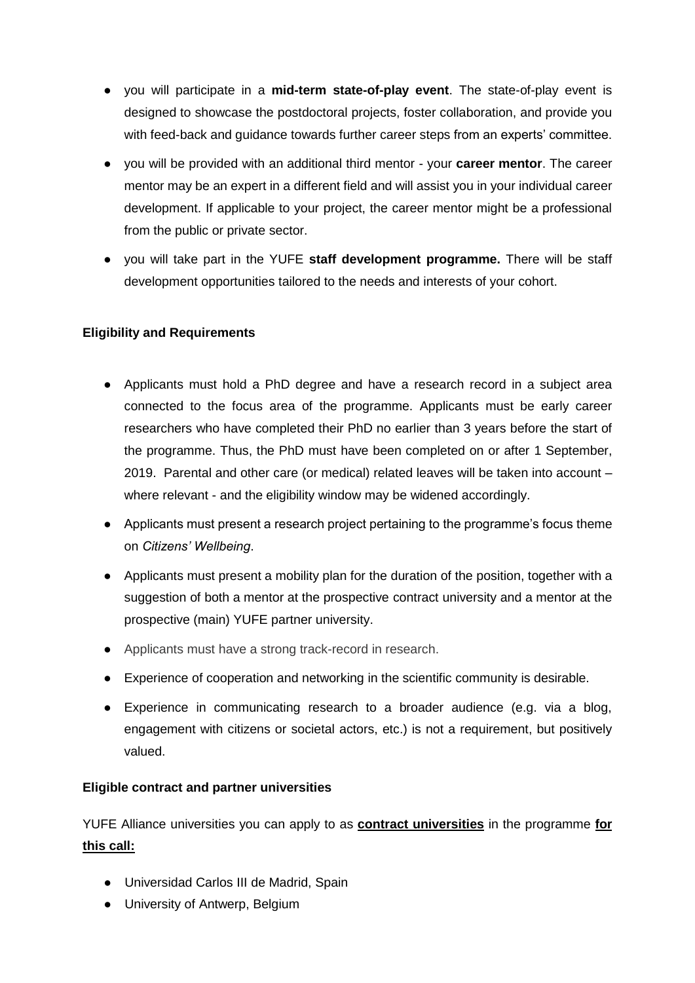- you will participate in a **mid-term state-of-play event**. The state-of-play event is designed to showcase the postdoctoral projects, foster collaboration, and provide you with feed-back and guidance towards further career steps from an experts' committee.
- you will be provided with an additional third mentor your **career mentor**. The career mentor may be an expert in a different field and will assist you in your individual career development. If applicable to your project, the career mentor might be a professional from the public or private sector.
- you will take part in the YUFE **staff development programme.** There will be staff development opportunities tailored to the needs and interests of your cohort.

# **Eligibility and Requirements**

- Applicants must hold a PhD degree and have a research record in a subject area connected to the focus area of the programme. Applicants must be early career researchers who have completed their PhD no earlier than 3 years before the start of the programme. Thus, the PhD must have been completed on or after 1 September, 2019. Parental and other care (or medical) related leaves will be taken into account – where relevant - and the eligibility window may be widened accordingly.
- Applicants must present a research project pertaining to the programme's focus theme on *Citizens' Wellbeing*.
- Applicants must present a mobility plan for the duration of the position, together with a suggestion of both a mentor at the prospective contract university and a mentor at the prospective (main) YUFE partner university.
- Applicants must have a strong track-record in research.
- Experience of cooperation and networking in the scientific community is desirable.
- Experience in communicating research to a broader audience (e.g. via a blog, engagement with citizens or societal actors, etc.) is not a requirement, but positively valued.

# **Eligible contract and partner universities**

YUFE Alliance universities you can apply to as **contract universities** in the programme **for this call:**

- Universidad Carlos III de Madrid, Spain
- University of Antwerp, Belgium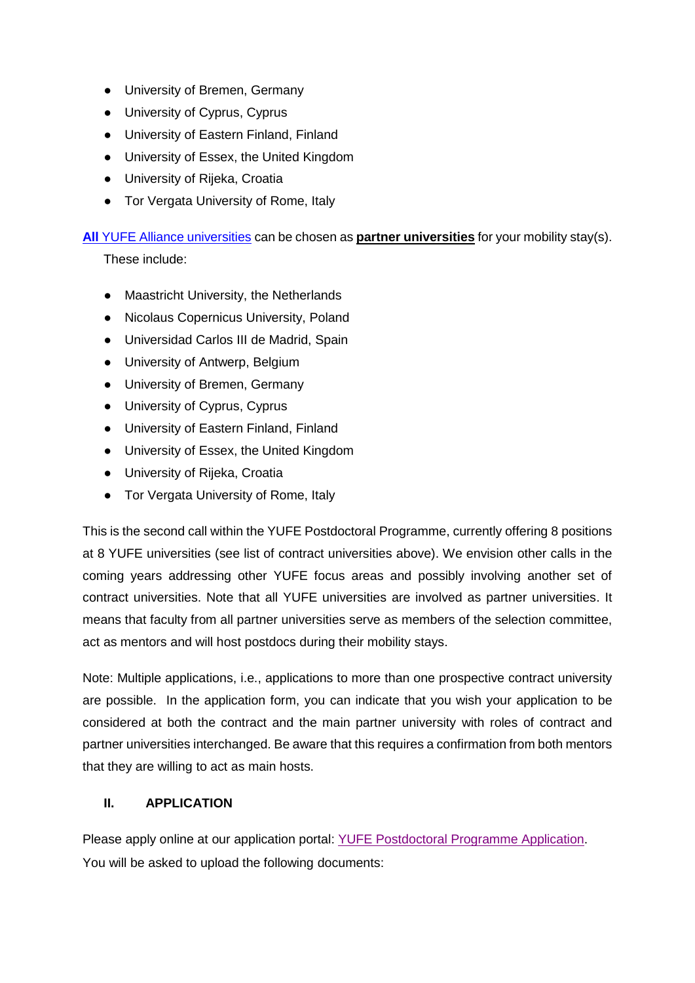- University of Bremen, Germany
- University of Cyprus, Cyprus
- University of Eastern Finland, Finland
- University of Essex, the United Kingdom
- University of Rijeka, Croatia
- Tor Vergata University of Rome, Italy

**All** YUFE Alliance [universities](https://yufe.eu/who-we-are) can be chosen as **partner universities** for your mobility stay(s).

These include:

- Maastricht University, the Netherlands
- Nicolaus Copernicus University, Poland
- Universidad Carlos III de Madrid, Spain
- University of Antwerp, Belgium
- University of Bremen, Germany
- University of Cyprus, Cyprus
- University of Eastern Finland, Finland
- University of Essex, the United Kingdom
- University of Rijeka, Croatia
- Tor Vergata University of Rome, Italy

This is the second call within the YUFE Postdoctoral Programme, currently offering 8 positions at 8 YUFE universities (see list of contract universities above). We envision other calls in the coming years addressing other YUFE focus areas and possibly involving another set of contract universities. Note that all YUFE universities are involved as partner universities. It means that faculty from all partner universities serve as members of the selection committee, act as mentors and will host postdocs during their mobility stays.

Note: Multiple applications, i.e., applications to more than one prospective contract university are possible. In the application form, you can indicate that you wish your application to be considered at both the contract and the main partner university with roles of contract and partner universities interchanged. Be aware that this requires a confirmation from both mentors that they are willing to act as main hosts.

# **II. APPLICATION**

Please apply online at our application portal: [YUFE Postdoctoral Programme Application](https://www.uni-bremen.de/yufe/yufe-incoming). You will be asked to upload the following documents: